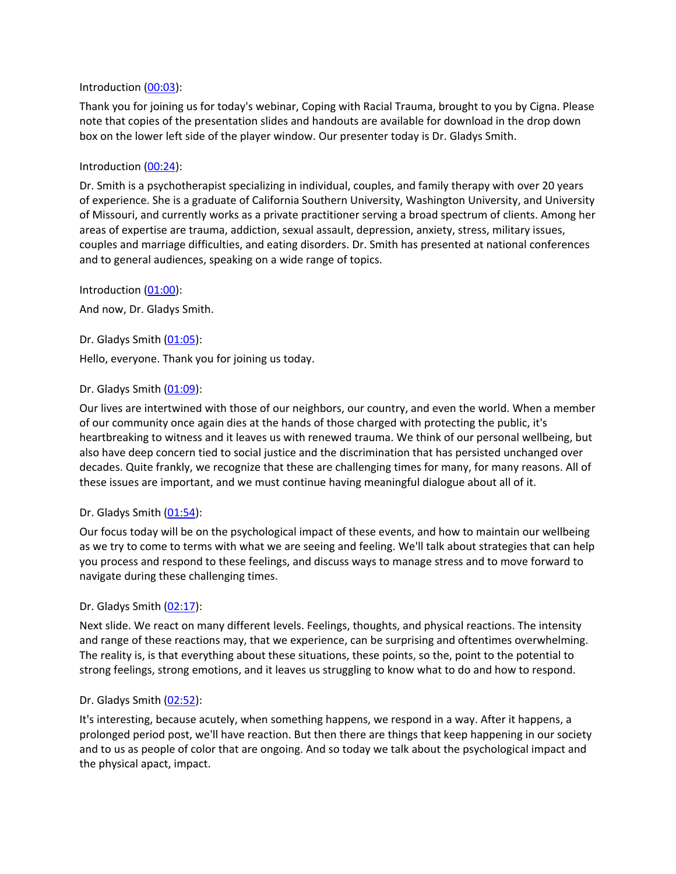#### Introduction ([00:03\)](https://www.rev.com/transcript-editor/Edit?token=dmSGVXTtSRcu9Nr7Cz_0fqgKynksVTg1hXd1i5IeA3kqNhNg360cT547UKwrM1MnUFxewxvz95fw-fBwW4zLWgFEkjc&loadFrom=DocumentDeeplink&ts=3.88):

Thank you for joining us for today's webinar, Coping with Racial Trauma, brought to you by Cigna. Please note that copies of the presentation slides and handouts are available for download in the drop down box on the lower left side of the player window. Our presenter today is Dr. Gladys Smith.

#### Introduction ([00:24\)](https://www.rev.com/transcript-editor/Edit?token=pyOdDw0RlBz7vMd7mphm5u11DN-Uv-k-R_VR4S44LDikXdEdfDVvJWzsGCVca95QzMZ0MwRRY5gJV23G55E0pesQQfM&loadFrom=DocumentDeeplink&ts=24.04):

Dr. Smith is a psychotherapist specializing in individual, couples, and family therapy with over 20 years of experience. She is a graduate of California Southern University, Washington University, and University of Missouri, and currently works as a private practitioner serving a broad spectrum of clients. Among her areas of expertise are trauma, addiction, sexual assault, depression, anxiety, stress, military issues, couples and marriage difficulties, and eating disorders. Dr. Smith has presented at national conferences and to general audiences, speaking on a wide range of topics.

Introduction ([01:00\)](https://www.rev.com/transcript-editor/Edit?token=zk6RwgZ_TdiH_K8LPA6GeBS4X11jKbtp0MkXy7wy7DFBiybIKZct3u1_zU1QEUsdnesBjc8FUuHNRrvgjfFl8_ZKt8Q&loadFrom=DocumentDeeplink&ts=60.49):

And now, Dr. Gladys Smith.

Dr. Gladys Smith ([01:05](https://www.rev.com/transcript-editor/Edit?token=dC0k1wgVGXT8_W4VPkzHfa1WwzOLfzcE1H_I2YjdF2vBCHufgH_MzvPcuTHEnDdQyxCU_Ovkv7Ww2o-FOnXLkHuVKL0&loadFrom=DocumentDeeplink&ts=65.36)):

Hello, everyone. Thank you for joining us today.

### Dr. Gladys Smith ([01:09](https://www.rev.com/transcript-editor/Edit?token=UHzC8S0TBG8UB3M-fUnrzmPni7qiDOtFEWyEgPvyMv7J402-tCJIH1ci3zqtSVRVqzyurGbZygY10ZQusUqHfVdD41M&loadFrom=DocumentDeeplink&ts=69.42)):

Our lives are intertwined with those of our neighbors, our country, and even the world. When a member of our community once again dies at the hands of those charged with protecting the public, it's heartbreaking to witness and it leaves us with renewed trauma. We think of our personal wellbeing, but also have deep concern tied to social justice and the discrimination that has persisted unchanged over decades. Quite frankly, we recognize that these are challenging times for many, for many reasons. All of these issues are important, and we must continue having meaningful dialogue about all of it.

### Dr. Gladys Smith ([01:54](https://www.rev.com/transcript-editor/Edit?token=riZCbU1QAG5k0VQFTfTe168NO22m7mZMEMFnwbs1N1ON51nwsCLtDKYyhLbPMhTsz8843JXhuKnM7zhZCL0pMqze4HI&loadFrom=DocumentDeeplink&ts=114.43)):

Our focus today will be on the psychological impact of these events, and how to maintain our wellbeing as we try to come to terms with what we are seeing and feeling. We'll talk about strategies that can help you process and respond to these feelings, and discuss ways to manage stress and to move forward to navigate during these challenging times.

### Dr. Gladys Smith ([02:17](https://www.rev.com/transcript-editor/Edit?token=oUgigkxioJ11bW7PRuOoV3W-wKAcfuCyEkZ82uY3yxegMCH-JDN8kdJjKMVxdBON35SJIrxTrTk4ovR4_SDRpvSLB2o&loadFrom=DocumentDeeplink&ts=137.61)):

Next slide. We react on many different levels. Feelings, thoughts, and physical reactions. The intensity and range of these reactions may, that we experience, can be surprising and oftentimes overwhelming. The reality is, is that everything about these situations, these points, so the, point to the potential to strong feelings, strong emotions, and it leaves us struggling to know what to do and how to respond.

### Dr. Gladys Smith ([02:52](https://www.rev.com/transcript-editor/Edit?token=hCNHmLbrW5-hJP-yDRfZr6fTik29C3HqYtmmA2lsSJ1q84LZUTwYSHzcLXTsFktx-pqzzjdPFM2kCytYRX9HzSfxe2c&loadFrom=DocumentDeeplink&ts=172.49)):

It's interesting, because acutely, when something happens, we respond in a way. After it happens, a prolonged period post, we'll have reaction. But then there are things that keep happening in our society and to us as people of color that are ongoing. And so today we talk about the psychological impact and the physical apact, impact.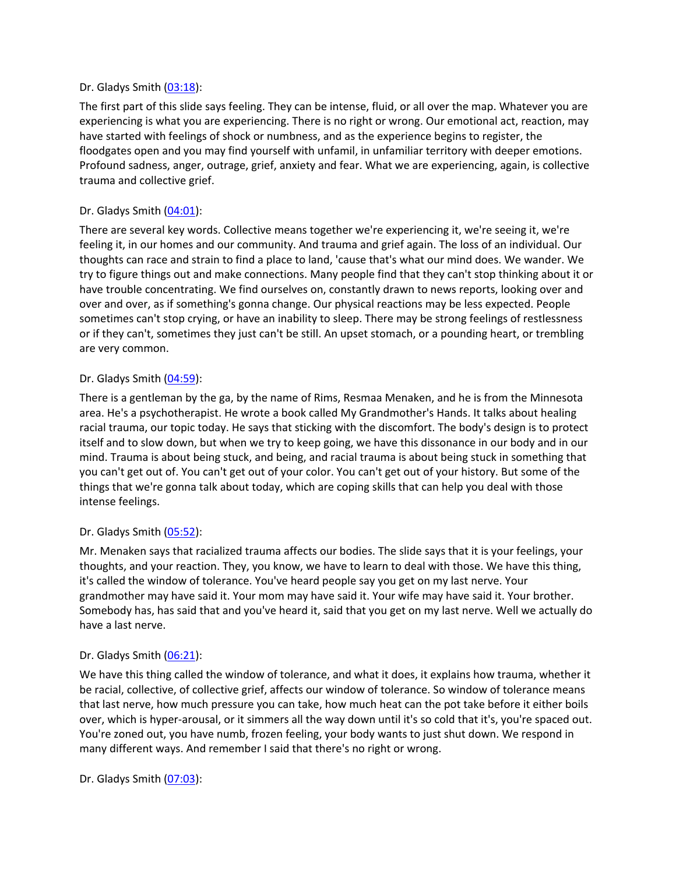#### Dr. Gladys Smith ([03:18](https://www.rev.com/transcript-editor/Edit?token=tK-st8dzSTAJLtp3tZg7K5WIaAWStisX4ni5dZOe1XjDd34XjgWvg89iZha8nLj2wmmIjKmjIwRJrGWhDDDT3mE0EJ4&loadFrom=DocumentDeeplink&ts=198.64)):

The first part of this slide says feeling. They can be intense, fluid, or all over the map. Whatever you are experiencing is what you are experiencing. There is no right or wrong. Our emotional act, reaction, may have started with feelings of shock or numbness, and as the experience begins to register, the floodgates open and you may find yourself with unfamil, in unfamiliar territory with deeper emotions. Profound sadness, anger, outrage, grief, anxiety and fear. What we are experiencing, again, is collective trauma and collective grief.

### Dr. Gladys Smith ([04:01](https://www.rev.com/transcript-editor/Edit?token=l_BWFTiKZWF5gKZebiR0W-kUhNB6gmzdgdHGu2JhcqhRviaG-zcygOfVrcH4hon94XI_ydOucCobD7FLNfWZHFS_7do&loadFrom=DocumentDeeplink&ts=241.28)):

There are several key words. Collective means together we're experiencing it, we're seeing it, we're feeling it, in our homes and our community. And trauma and grief again. The loss of an individual. Our thoughts can race and strain to find a place to land, 'cause that's what our mind does. We wander. We try to figure things out and make connections. Many people find that they can't stop thinking about it or have trouble concentrating. We find ourselves on, constantly drawn to news reports, looking over and over and over, as if something's gonna change. Our physical reactions may be less expected. People sometimes can't stop crying, or have an inability to sleep. There may be strong feelings of restlessness or if they can't, sometimes they just can't be still. An upset stomach, or a pounding heart, or trembling are very common.

### Dr. Gladys Smith ([04:59](https://www.rev.com/transcript-editor/Edit?token=C5RRd0rbvnVTlQ-XntR_9uMrdBmEJZGGNxrQHrnU8FZyxAIVaDkr23-KkErkcTLY_rdl9JNah7W3KSfXUdU5gC60s9s&loadFrom=DocumentDeeplink&ts=299.89)):

There is a gentleman by the ga, by the name of Rims, Resmaa Menaken, and he is from the Minnesota area. He's a psychotherapist. He wrote a book called My Grandmother's Hands. It talks about healing racial trauma, our topic today. He says that sticking with the discomfort. The body's design is to protect itself and to slow down, but when we try to keep going, we have this dissonance in our body and in our mind. Trauma is about being stuck, and being, and racial trauma is about being stuck in something that you can't get out of. You can't get out of your color. You can't get out of your history. But some of the things that we're gonna talk about today, which are coping skills that can help you deal with those intense feelings.

### Dr. Gladys Smith ([05:52](https://www.rev.com/transcript-editor/Edit?token=sd7aI5k9Bbel8DH0DOfUMgxN27FZNCnrwAYtLr61B3rUR-KqLFHNZXz0AgrE-9Odqm-cxLipQA3RUQjA2CmvYpJfBjM&loadFrom=DocumentDeeplink&ts=352.92)):

Mr. Menaken says that racialized trauma affects our bodies. The slide says that it is your feelings, your thoughts, and your reaction. They, you know, we have to learn to deal with those. We have this thing, it's called the window of tolerance. You've heard people say you get on my last nerve. Your grandmother may have said it. Your mom may have said it. Your wife may have said it. Your brother. Somebody has, has said that and you've heard it, said that you get on my last nerve. Well we actually do have a last nerve.

### Dr. Gladys Smith ([06:21](https://www.rev.com/transcript-editor/Edit?token=0jpRwQMX8Ggv5RNyk_nzzCiCMWEpTRIjCK--Mts-U6XGX29w5-uTZhATBGgddaww77C6sgMU4uZqJTuhOItYjEipSsM&loadFrom=DocumentDeeplink&ts=381.98)):

We have this thing called the window of tolerance, and what it does, it explains how trauma, whether it be racial, collective, of collective grief, affects our window of tolerance. So window of tolerance means that last nerve, how much pressure you can take, how much heat can the pot take before it either boils over, which is hyper-arousal, or it simmers all the way down until it's so cold that it's, you're spaced out. You're zoned out, you have numb, frozen feeling, your body wants to just shut down. We respond in many different ways. And remember I said that there's no right or wrong.

Dr. Gladys Smith ([07:03](https://www.rev.com/transcript-editor/Edit?token=0x4lJ_54-J_8FfhnSj8Kqn4EGQGAPKsTXPykuiwCajw5Z7x7gvmOoUvguuxPEKfXJvtMM7KjpdzTkXk06uPnAAztbWg&loadFrom=DocumentDeeplink&ts=423.99)):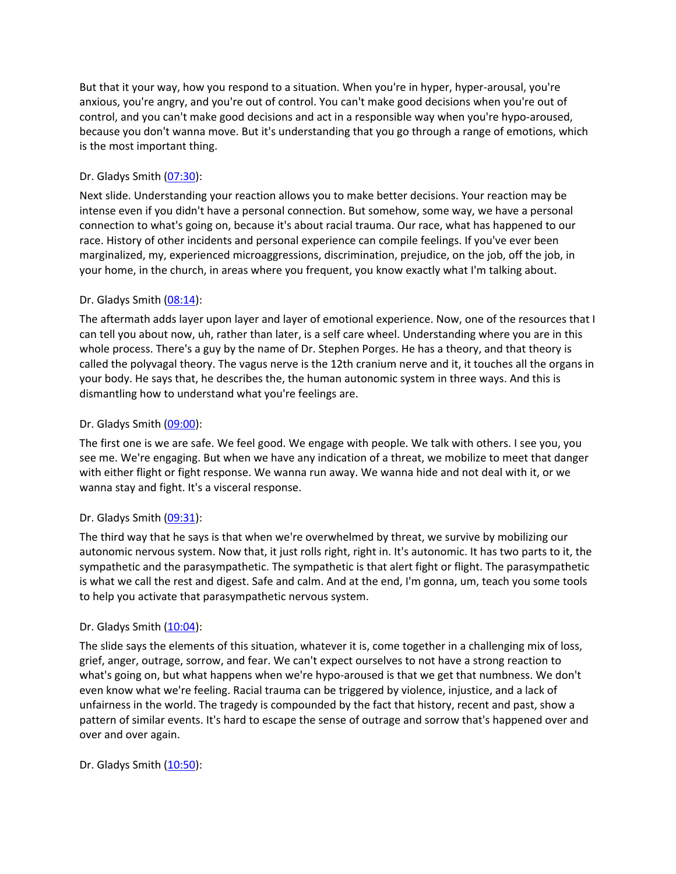But that it your way, how you respond to a situation. When you're in hyper, hyper-arousal, you're anxious, you're angry, and you're out of control. You can't make good decisions when you're out of control, and you can't make good decisions and act in a responsible way when you're hypo-aroused, because you don't wanna move. But it's understanding that you go through a range of emotions, which is the most important thing.

# Dr. Gladys Smith ([07:30](https://www.rev.com/transcript-editor/Edit?token=0jkHZNH3qxgY02rFjPUidsyUNTaqLBdBMwEpVenJUH1demG79GDWFsr-oGsop6Oi9oQaa7r-VD5p3u7t9bPXB3xhGR8&loadFrom=DocumentDeeplink&ts=450.97)):

Next slide. Understanding your reaction allows you to make better decisions. Your reaction may be intense even if you didn't have a personal connection. But somehow, some way, we have a personal connection to what's going on, because it's about racial trauma. Our race, what has happened to our race. History of other incidents and personal experience can compile feelings. If you've ever been marginalized, my, experienced microaggressions, discrimination, prejudice, on the job, off the job, in your home, in the church, in areas where you frequent, you know exactly what I'm talking about.

# Dr. Gladys Smith ([08:14](https://www.rev.com/transcript-editor/Edit?token=EGiC4ozlYNoED7xNV55padNP3uwfbirtAcTsNjQ6_ItP40NOmhk3m8k09bdLCerwmCJ8q9ZIkuHg6FUsgfdGXR7nMNk&loadFrom=DocumentDeeplink&ts=494.07)):

The aftermath adds layer upon layer and layer of emotional experience. Now, one of the resources that I can tell you about now, uh, rather than later, is a self care wheel. Understanding where you are in this whole process. There's a guy by the name of Dr. Stephen Porges. He has a theory, and that theory is called the polyvagal theory. The vagus nerve is the 12th cranium nerve and it, it touches all the organs in your body. He says that, he describes the, the human autonomic system in three ways. And this is dismantling how to understand what you're feelings are.

### Dr. Gladys Smith ([09:00](https://www.rev.com/transcript-editor/Edit?token=CZdNiIEZn3gj0BiR7Pv5vqaNHF66w_FkYhdbtZlNmmZHxGxZAjhxm_uzy8aFlIgCrX3SYFeW77Utpf9T4kp4K4H_sLg&loadFrom=DocumentDeeplink&ts=540.09)):

The first one is we are safe. We feel good. We engage with people. We talk with others. I see you, you see me. We're engaging. But when we have any indication of a threat, we mobilize to meet that danger with either flight or fight response. We wanna run away. We wanna hide and not deal with it, or we wanna stay and fight. It's a visceral response.

### Dr. Gladys Smith ([09:31](https://www.rev.com/transcript-editor/Edit?token=B4e7VGRvAJnvgGABJvHcFN0X-ELuy8VGlPqm7yFZUNHGZtUOEXk2sIBCtfdJzznWLsd1P0gvqP92mfaYQ6BUvfBS4Xo&loadFrom=DocumentDeeplink&ts=571.58)):

The third way that he says is that when we're overwhelmed by threat, we survive by mobilizing our autonomic nervous system. Now that, it just rolls right, right in. It's autonomic. It has two parts to it, the sympathetic and the parasympathetic. The sympathetic is that alert fight or flight. The parasympathetic is what we call the rest and digest. Safe and calm. And at the end, I'm gonna, um, teach you some tools to help you activate that parasympathetic nervous system.

### Dr. Gladys Smith  $(10:04)$  $(10:04)$  $(10:04)$ :

The slide says the elements of this situation, whatever it is, come together in a challenging mix of loss, grief, anger, outrage, sorrow, and fear. We can't expect ourselves to not have a strong reaction to what's going on, but what happens when we're hypo-aroused is that we get that numbness. We don't even know what we're feeling. Racial trauma can be triggered by violence, injustice, and a lack of unfairness in the world. The tragedy is compounded by the fact that history, recent and past, show a pattern of similar events. It's hard to escape the sense of outrage and sorrow that's happened over and over and over again.

### Dr. Gladys Smith  $(10:50)$  $(10:50)$  $(10:50)$ :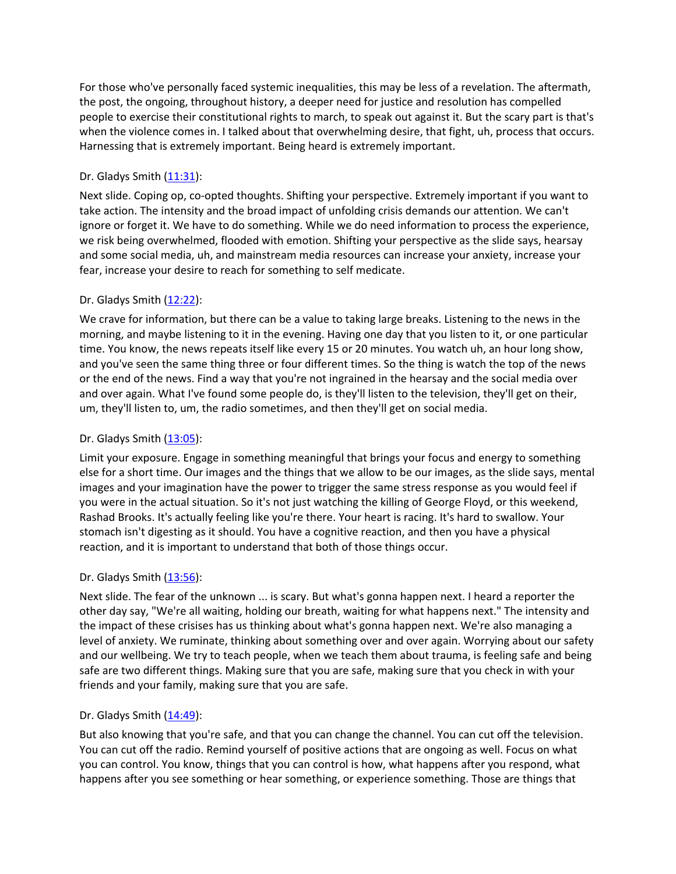For those who've personally faced systemic inequalities, this may be less of a revelation. The aftermath, the post, the ongoing, throughout history, a deeper need for justice and resolution has compelled people to exercise their constitutional rights to march, to speak out against it. But the scary part is that's when the violence comes in. I talked about that overwhelming desire, that fight, uh, process that occurs. Harnessing that is extremely important. Being heard is extremely important.

# Dr. Gladys Smith  $(11:31)$  $(11:31)$  $(11:31)$ :

Next slide. Coping op, co-opted thoughts. Shifting your perspective. Extremely important if you want to take action. The intensity and the broad impact of unfolding crisis demands our attention. We can't ignore or forget it. We have to do something. While we do need information to process the experience, we risk being overwhelmed, flooded with emotion. Shifting your perspective as the slide says, hearsay and some social media, uh, and mainstream media resources can increase your anxiety, increase your fear, increase your desire to reach for something to self medicate.

# Dr. Gladys Smith ([12:22](https://www.rev.com/transcript-editor/Edit?token=8y0CG0RubxuMyPV_vI08i8hlmQ3V-DrFtD5vEB1EwJvOMWICIarLOxtsTyQERL7gnXDGDZDoRki5LMNboVMTRgLTqRo&loadFrom=DocumentDeeplink&ts=742.53)):

We crave for information, but there can be a value to taking large breaks. Listening to the news in the morning, and maybe listening to it in the evening. Having one day that you listen to it, or one particular time. You know, the news repeats itself like every 15 or 20 minutes. You watch uh, an hour long show, and you've seen the same thing three or four different times. So the thing is watch the top of the news or the end of the news. Find a way that you're not ingrained in the hearsay and the social media over and over again. What I've found some people do, is they'll listen to the television, they'll get on their, um, they'll listen to, um, the radio sometimes, and then they'll get on social media.

### Dr. Gladys Smith ([13:05](https://www.rev.com/transcript-editor/Edit?token=mXJE2it6hfoaQrBkClroc5N6SlWfXXlaq1IDSU1QncRP_gLymCw7mLWABZokctNFUQyX5oeZxYEx9xLBtVRmWK-dBc4&loadFrom=DocumentDeeplink&ts=785.81)):

Limit your exposure. Engage in something meaningful that brings your focus and energy to something else for a short time. Our images and the things that we allow to be our images, as the slide says, mental images and your imagination have the power to trigger the same stress response as you would feel if you were in the actual situation. So it's not just watching the killing of George Floyd, or this weekend, Rashad Brooks. It's actually feeling like you're there. Your heart is racing. It's hard to swallow. Your stomach isn't digesting as it should. You have a cognitive reaction, and then you have a physical reaction, and it is important to understand that both of those things occur.

### Dr. Gladys Smith  $(13:56)$  $(13:56)$  $(13:56)$ :

Next slide. The fear of the unknown ... is scary. But what's gonna happen next. I heard a reporter the other day say, "We're all waiting, holding our breath, waiting for what happens next." The intensity and the impact of these crisises has us thinking about what's gonna happen next. We're also managing a level of anxiety. We ruminate, thinking about something over and over again. Worrying about our safety and our wellbeing. We try to teach people, when we teach them about trauma, is feeling safe and being safe are two different things. Making sure that you are safe, making sure that you check in with your friends and your family, making sure that you are safe.

### Dr. Gladys Smith ([14:49](https://www.rev.com/transcript-editor/Edit?token=mcRXBYDfjBC7-X2ZNyGrE_fU4dmjljchPbQZt-pkaWNgERAvkSBLjOYhQz4EracZFTDI1hnG5LcbtZMH4tEGvaodQog&loadFrom=DocumentDeeplink&ts=889.68)):

But also knowing that you're safe, and that you can change the channel. You can cut off the television. You can cut off the radio. Remind yourself of positive actions that are ongoing as well. Focus on what you can control. You know, things that you can control is how, what happens after you respond, what happens after you see something or hear something, or experience something. Those are things that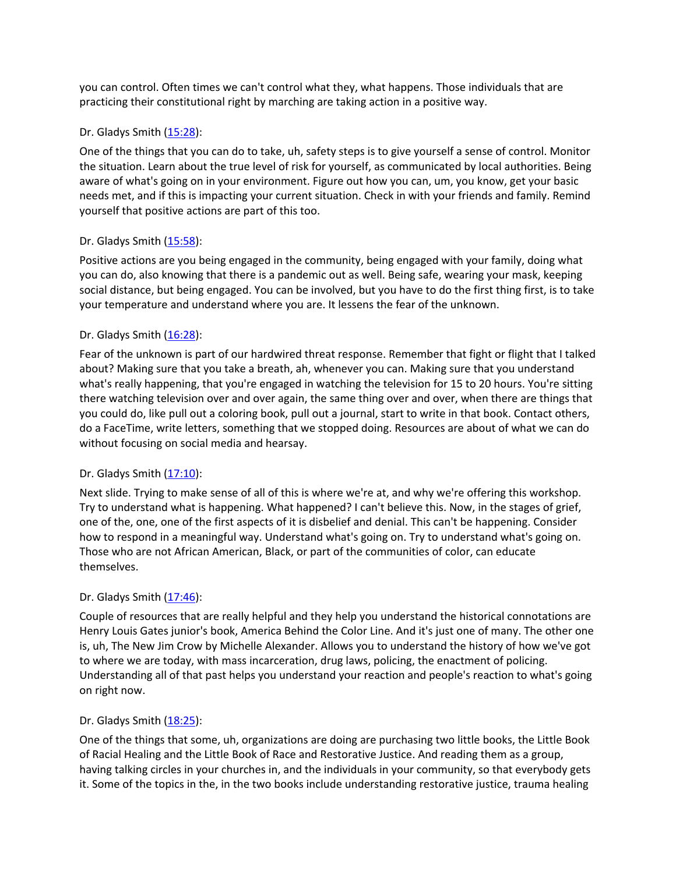you can control. Often times we can't control what they, what happens. Those individuals that are practicing their constitutional right by marching are taking action in a positive way.

### Dr. Gladys Smith ([15:28](https://www.rev.com/transcript-editor/Edit?token=NB_4KtZd_e9dc1w3zX9zBqdqGuYbXy5F4l-p7yF-GxL_rBZik0D8CQkk44FNuhV0-SPfd9Hi-ioYQsh1PmM5q5lHuIE&loadFrom=DocumentDeeplink&ts=928.54)):

One of the things that you can do to take, uh, safety steps is to give yourself a sense of control. Monitor the situation. Learn about the true level of risk for yourself, as communicated by local authorities. Being aware of what's going on in your environment. Figure out how you can, um, you know, get your basic needs met, and if this is impacting your current situation. Check in with your friends and family. Remind yourself that positive actions are part of this too.

# Dr. Gladys Smith  $(15:58)$  $(15:58)$  $(15:58)$ :

Positive actions are you being engaged in the community, being engaged with your family, doing what you can do, also knowing that there is a pandemic out as well. Being safe, wearing your mask, keeping social distance, but being engaged. You can be involved, but you have to do the first thing first, is to take your temperature and understand where you are. It lessens the fear of the unknown.

# Dr. Gladys Smith ([16:28](https://www.rev.com/transcript-editor/Edit?token=Ezne1jdmwmCKttj0S2aY9O2K7BpvxLHh0jx-VXCTOZ2WRNTz12Z49pVjBZqZa4YOjoQKQksLi-Yz_rAI4fvi7JzB-Fc&loadFrom=DocumentDeeplink&ts=988.07)):

Fear of the unknown is part of our hardwired threat response. Remember that fight or flight that I talked about? Making sure that you take a breath, ah, whenever you can. Making sure that you understand what's really happening, that you're engaged in watching the television for 15 to 20 hours. You're sitting there watching television over and over again, the same thing over and over, when there are things that you could do, like pull out a coloring book, pull out a journal, start to write in that book. Contact others, do a FaceTime, write letters, something that we stopped doing. Resources are about of what we can do without focusing on social media and hearsay.

### Dr. Gladys Smith  $(17:10)$  $(17:10)$  $(17:10)$ :

Next slide. Trying to make sense of all of this is where we're at, and why we're offering this workshop. Try to understand what is happening. What happened? I can't believe this. Now, in the stages of grief, one of the, one, one of the first aspects of it is disbelief and denial. This can't be happening. Consider how to respond in a meaningful way. Understand what's going on. Try to understand what's going on. Those who are not African American, Black, or part of the communities of color, can educate themselves.

### Dr. Gladys Smith ([17:46](https://www.rev.com/transcript-editor/Edit?token=xEX_q6Y8Q_NLkKubYbA9huS3HtEeaRXg7oINUnMRptQade2Md0-xhIbNzA7EXAlMrmy1cUi8pQWZA8Zlz07cegVIBew&loadFrom=DocumentDeeplink&ts=1066.1)):

Couple of resources that are really helpful and they help you understand the historical connotations are Henry Louis Gates junior's book, America Behind the Color Line. And it's just one of many. The other one is, uh, The New Jim Crow by Michelle Alexander. Allows you to understand the history of how we've got to where we are today, with mass incarceration, drug laws, policing, the enactment of policing. Understanding all of that past helps you understand your reaction and people's reaction to what's going on right now.

### Dr. Gladys Smith ([18:25](https://www.rev.com/transcript-editor/Edit?token=1-Dsty6KfvZcypb0J363fXojq4pWBBWtxvlOSyqn4jw_4U2oi79tA2YSa62pU_agwzuo8xprnu6yTotPjWkv4Istj3M&loadFrom=DocumentDeeplink&ts=1105.13)):

One of the things that some, uh, organizations are doing are purchasing two little books, the Little Book of Racial Healing and the Little Book of Race and Restorative Justice. And reading them as a group, having talking circles in your churches in, and the individuals in your community, so that everybody gets it. Some of the topics in the, in the two books include understanding restorative justice, trauma healing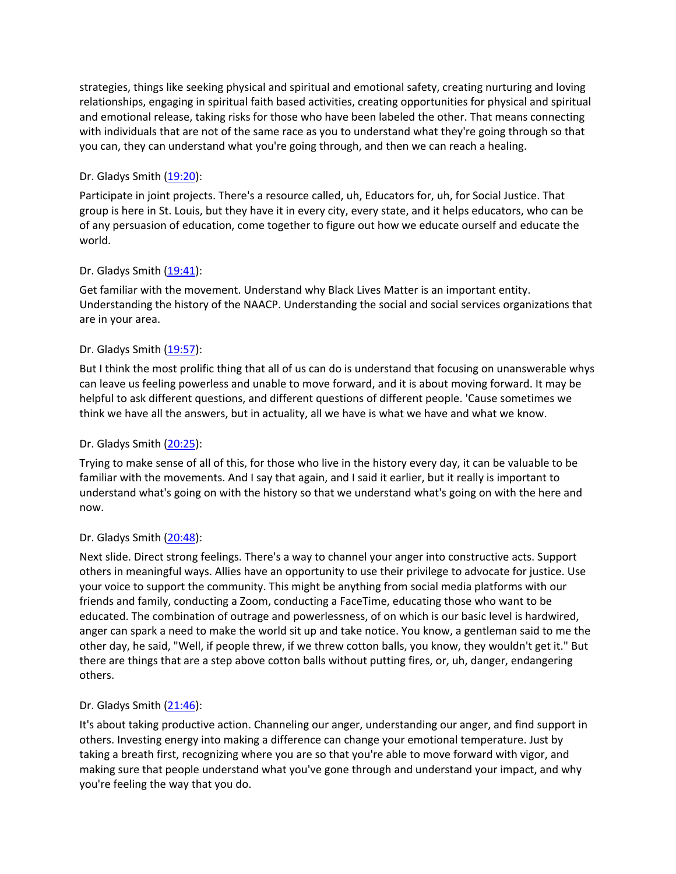strategies, things like seeking physical and spiritual and emotional safety, creating nurturing and loving relationships, engaging in spiritual faith based activities, creating opportunities for physical and spiritual and emotional release, taking risks for those who have been labeled the other. That means connecting with individuals that are not of the same race as you to understand what they're going through so that you can, they can understand what you're going through, and then we can reach a healing.

# Dr. Gladys Smith ([19:20](https://www.rev.com/transcript-editor/Edit?token=QVrUru_R6Am2xNyiTJZTHF0Qg2AE2MhzrHBAP3N9cG9L8ehTRIb8NW4d7soZvb5ALMLnDr--pVBpp0w2mDB4FlSz4lc&loadFrom=DocumentDeeplink&ts=1160.76)):

Participate in joint projects. There's a resource called, uh, Educators for, uh, for Social Justice. That group is here in St. Louis, but they have it in every city, every state, and it helps educators, who can be of any persuasion of education, come together to figure out how we educate ourself and educate the world.

# Dr. Gladys Smith ([19:41](https://www.rev.com/transcript-editor/Edit?token=otIkJKEvJaRq1sRg7d94b57M6csQpKB344K0Sn6tTUjSbr0vDeOwmGm81pdfrPXYyX9YZXl-1YcpzCpS3221uPNgrXw&loadFrom=DocumentDeeplink&ts=1181.96)):

Get familiar with the movement. Understand why Black Lives Matter is an important entity. Understanding the history of the NAACP. Understanding the social and social services organizations that are in your area.

# Dr. Gladys Smith ([19:57](https://www.rev.com/transcript-editor/Edit?token=TOLWY2WrOvxHGXBFVivqXu6PjfLocNc9ng-LIeqw1YKSxCh04XHhPZN-R_pRjOalF3ULdwBdeMS62VjeEANF3RsPbhQ&loadFrom=DocumentDeeplink&ts=1197.11)):

But I think the most prolific thing that all of us can do is understand that focusing on unanswerable whys can leave us feeling powerless and unable to move forward, and it is about moving forward. It may be helpful to ask different questions, and different questions of different people. 'Cause sometimes we think we have all the answers, but in actuality, all we have is what we have and what we know.

### Dr. Gladys Smith ([20:25](https://www.rev.com/transcript-editor/Edit?token=1OoASct_IGJEkJ5jlZXwE5sG5w0geIVnu2aTjkAjHbqZGDiXng9zLzlBhmMmtOAp830ps40SXRBsfrF5ExBqkGpLmbY&loadFrom=DocumentDeeplink&ts=1225.76)):

Trying to make sense of all of this, for those who live in the history every day, it can be valuable to be familiar with the movements. And I say that again, and I said it earlier, but it really is important to understand what's going on with the history so that we understand what's going on with the here and now.

### Dr. Gladys Smith ([20:48](https://www.rev.com/transcript-editor/Edit?token=CsNcAmyUiTqkC-wIwEL7b1-jyc403hwoKSOzPN4ZA1eTkQR7iYaVX88Wp2X-3aOawZJOsOfOgIRXwf5PHuzUg7_v4e4&loadFrom=DocumentDeeplink&ts=1248.69)):

Next slide. Direct strong feelings. There's a way to channel your anger into constructive acts. Support others in meaningful ways. Allies have an opportunity to use their privilege to advocate for justice. Use your voice to support the community. This might be anything from social media platforms with our friends and family, conducting a Zoom, conducting a FaceTime, educating those who want to be educated. The combination of outrage and powerlessness, of on which is our basic level is hardwired, anger can spark a need to make the world sit up and take notice. You know, a gentleman said to me the other day, he said, "Well, if people threw, if we threw cotton balls, you know, they wouldn't get it." But there are things that are a step above cotton balls without putting fires, or, uh, danger, endangering others.

### Dr. Gladys Smith ([21:46](https://www.rev.com/transcript-editor/Edit?token=VzPz31rx0fIQSPyRE3iBQW5-XNN_-Q4T5kNAAJo5rDtX2bdhxOR8VieTIcPXRjo7KgM6q_ZcZYxoq5zd3oObB_V1TnA&loadFrom=DocumentDeeplink&ts=1306.26)):

It's about taking productive action. Channeling our anger, understanding our anger, and find support in others. Investing energy into making a difference can change your emotional temperature. Just by taking a breath first, recognizing where you are so that you're able to move forward with vigor, and making sure that people understand what you've gone through and understand your impact, and why you're feeling the way that you do.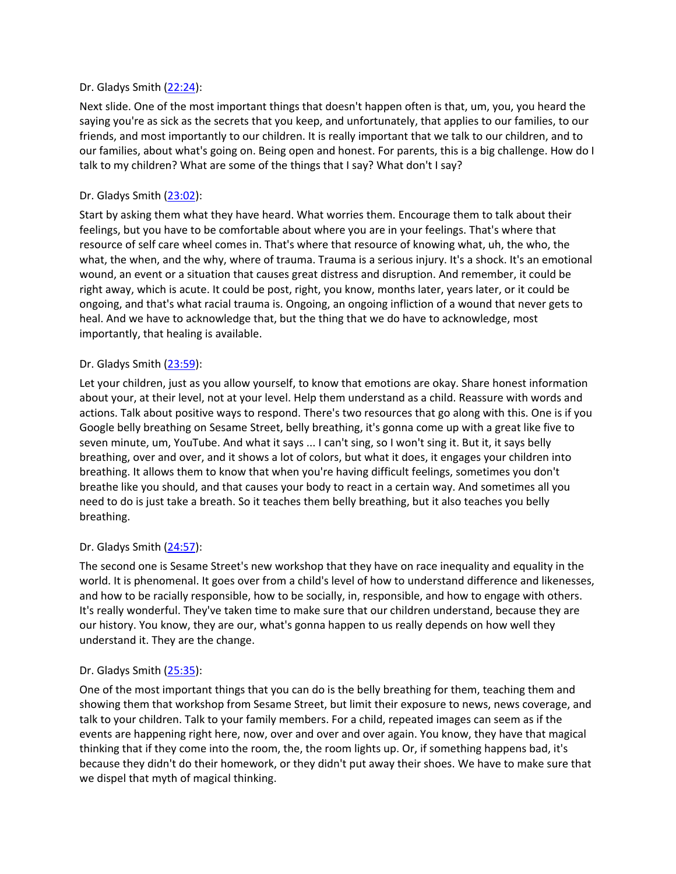### Dr. Gladys Smith ([22:24](https://www.rev.com/transcript-editor/Edit?token=lQli9eI7opz7bYBNMHq7IM3Wp16iiFHT_cNH2LT_ujhkt7MMIRZD_DXnX8SAQCeDl53KYmxkZt1OzbEcbG1FZig-Um4&loadFrom=DocumentDeeplink&ts=1344.38)):

Next slide. One of the most important things that doesn't happen often is that, um, you, you heard the saying you're as sick as the secrets that you keep, and unfortunately, that applies to our families, to our friends, and most importantly to our children. It is really important that we talk to our children, and to our families, about what's going on. Being open and honest. For parents, this is a big challenge. How do I talk to my children? What are some of the things that I say? What don't I say?

### Dr. Gladys Smith ([23:02](https://www.rev.com/transcript-editor/Edit?token=WUR10ttOk3cOoTiJWY8FjkPNjZULcD2eA_RpbIkJVPxWTcXjo-eIolkIOLkL-jE3KiDky-PtsW0cz0eR6pW7zWMAZIo&loadFrom=DocumentDeeplink&ts=1382.95)):

Start by asking them what they have heard. What worries them. Encourage them to talk about their feelings, but you have to be comfortable about where you are in your feelings. That's where that resource of self care wheel comes in. That's where that resource of knowing what, uh, the who, the what, the when, and the why, where of trauma. Trauma is a serious injury. It's a shock. It's an emotional wound, an event or a situation that causes great distress and disruption. And remember, it could be right away, which is acute. It could be post, right, you know, months later, years later, or it could be ongoing, and that's what racial trauma is. Ongoing, an ongoing infliction of a wound that never gets to heal. And we have to acknowledge that, but the thing that we do have to acknowledge, most importantly, that healing is available.

#### Dr. Gladys Smith ([23:59](https://www.rev.com/transcript-editor/Edit?token=NI7Atm7rNsFF9I1AVT4la3XPdNdDhMCsfdHyBb9LvwTwcWpK4E0GwFoKGGjWux6RuUDtI1Ooa5Cuq5ZkKVo2UvVyEEs&loadFrom=DocumentDeeplink&ts=1439.36)):

Let your children, just as you allow yourself, to know that emotions are okay. Share honest information about your, at their level, not at your level. Help them understand as a child. Reassure with words and actions. Talk about positive ways to respond. There's two resources that go along with this. One is if you Google belly breathing on Sesame Street, belly breathing, it's gonna come up with a great like five to seven minute, um, YouTube. And what it says ... I can't sing, so I won't sing it. But it, it says belly breathing, over and over, and it shows a lot of colors, but what it does, it engages your children into breathing. It allows them to know that when you're having difficult feelings, sometimes you don't breathe like you should, and that causes your body to react in a certain way. And sometimes all you need to do is just take a breath. So it teaches them belly breathing, but it also teaches you belly breathing.

### Dr. Gladys Smith ([24:57](https://www.rev.com/transcript-editor/Edit?token=sQ7h6W-94_jraOqeRaTfGUGqbOEif7QjUNLbvX05_nR9wAU2ls-qS7cJefxkw6gc4pTrDwyYhw-UfXT40SyCLB8zib0&loadFrom=DocumentDeeplink&ts=1497.02)):

The second one is Sesame Street's new workshop that they have on race inequality and equality in the world. It is phenomenal. It goes over from a child's level of how to understand difference and likenesses, and how to be racially responsible, how to be socially, in, responsible, and how to engage with others. It's really wonderful. They've taken time to make sure that our children understand, because they are our history. You know, they are our, what's gonna happen to us really depends on how well they understand it. They are the change.

### Dr. Gladys Smith ([25:35](https://www.rev.com/transcript-editor/Edit?token=T_6c_1IG5EbkwYVsEBTaYfMCnb9dL4Ls9uFp4UEpw0kD84ymnSFdZ_7MyigWYKVm-XOmEsGUMpZdnBos2Ps3umt1P-0&loadFrom=DocumentDeeplink&ts=1535.46)):

One of the most important things that you can do is the belly breathing for them, teaching them and showing them that workshop from Sesame Street, but limit their exposure to news, news coverage, and talk to your children. Talk to your family members. For a child, repeated images can seem as if the events are happening right here, now, over and over and over again. You know, they have that magical thinking that if they come into the room, the, the room lights up. Or, if something happens bad, it's because they didn't do their homework, or they didn't put away their shoes. We have to make sure that we dispel that myth of magical thinking.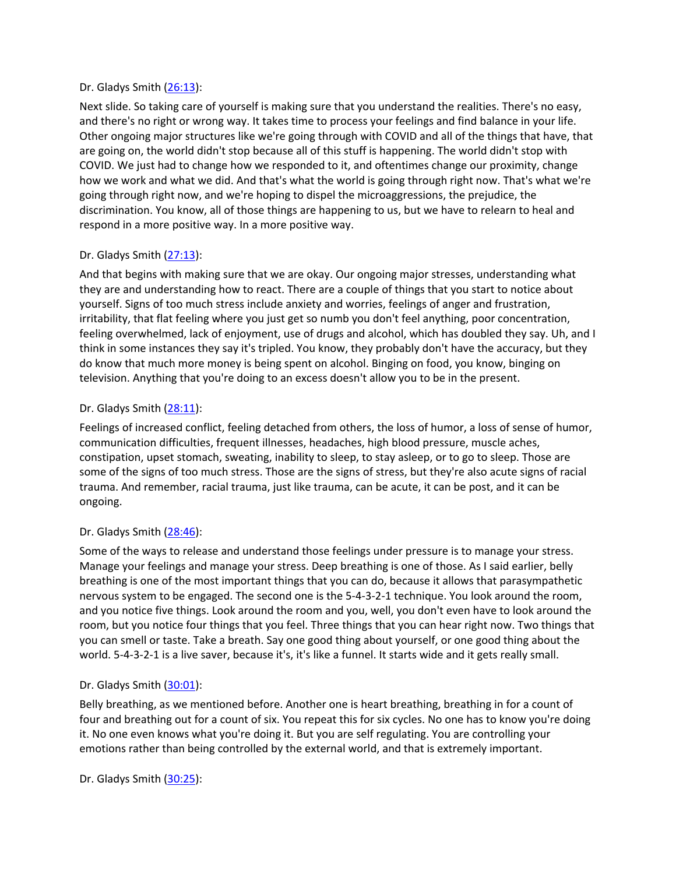### Dr. Gladys Smith ([26:13](https://www.rev.com/transcript-editor/Edit?token=5ohjjDTN_HtyY_w7Q6oUXfcJkCXpZ6rOoBsviwGtyxLFN9LO4o68iFTjCIbLGM3w5gOsZAZ5dlk0W9WuoISk5tnqxHI&loadFrom=DocumentDeeplink&ts=1573.33)):

Next slide. So taking care of yourself is making sure that you understand the realities. There's no easy, and there's no right or wrong way. It takes time to process your feelings and find balance in your life. Other ongoing major structures like we're going through with COVID and all of the things that have, that are going on, the world didn't stop because all of this stuff is happening. The world didn't stop with COVID. We just had to change how we responded to it, and oftentimes change our proximity, change how we work and what we did. And that's what the world is going through right now. That's what we're going through right now, and we're hoping to dispel the microaggressions, the prejudice, the discrimination. You know, all of those things are happening to us, but we have to relearn to heal and respond in a more positive way. In a more positive way.

### Dr. Gladys Smith ([27:13](https://www.rev.com/transcript-editor/Edit?token=kEjjaYZi_5fNZiamXeZ73aY1PvRQy4tee8V3MRGOiV_9DXQlry42STDpM1ExAVUKtZi4FCGB92C8m0eVfwZlulielIc&loadFrom=DocumentDeeplink&ts=1633.67)):

And that begins with making sure that we are okay. Our ongoing major stresses, understanding what they are and understanding how to react. There are a couple of things that you start to notice about yourself. Signs of too much stress include anxiety and worries, feelings of anger and frustration, irritability, that flat feeling where you just get so numb you don't feel anything, poor concentration, feeling overwhelmed, lack of enjoyment, use of drugs and alcohol, which has doubled they say. Uh, and I think in some instances they say it's tripled. You know, they probably don't have the accuracy, but they do know that much more money is being spent on alcohol. Binging on food, you know, binging on television. Anything that you're doing to an excess doesn't allow you to be in the present.

### Dr. Gladys Smith ([28:11](https://www.rev.com/transcript-editor/Edit?token=_SBv8JAQoB8PqMUCGwhs63yE9WyyGsLFo8SEBR4JMgVnk9m6FpHEr9Cl3T1GyVRK4GDe4fACEPeg9EJLBXepIc7xwzE&loadFrom=DocumentDeeplink&ts=1691.1)):

Feelings of increased conflict, feeling detached from others, the loss of humor, a loss of sense of humor, communication difficulties, frequent illnesses, headaches, high blood pressure, muscle aches, constipation, upset stomach, sweating, inability to sleep, to stay asleep, or to go to sleep. Those are some of the signs of too much stress. Those are the signs of stress, but they're also acute signs of racial trauma. And remember, racial trauma, just like trauma, can be acute, it can be post, and it can be ongoing.

# Dr. Gladys Smith ([28:46](https://www.rev.com/transcript-editor/Edit?token=_omaiLjrKicWm2GN4ygmaHiPgiIXEqL8lVcJ7DaHEywDQAa7X_6VS22xRCqa1jz-_P-DfXVucSQQpSYCtuYsrIJQfvo&loadFrom=DocumentDeeplink&ts=1726.37)):

Some of the ways to release and understand those feelings under pressure is to manage your stress. Manage your feelings and manage your stress. Deep breathing is one of those. As I said earlier, belly breathing is one of the most important things that you can do, because it allows that parasympathetic nervous system to be engaged. The second one is the 5-4-3-2-1 technique. You look around the room, and you notice five things. Look around the room and you, well, you don't even have to look around the room, but you notice four things that you feel. Three things that you can hear right now. Two things that you can smell or taste. Take a breath. Say one good thing about yourself, or one good thing about the world. 5-4-3-2-1 is a live saver, because it's, it's like a funnel. It starts wide and it gets really small.

### Dr. Gladys Smith ([30:01](https://www.rev.com/transcript-editor/Edit?token=WGSF0Bs4iCfyjqZtJokN1eanMdVs9WwMfarI2baBlSa0Y_0-pdPNgHkbJXxCLtyIebXhcFTM3QJLEoo1tQV39rgVT2s&loadFrom=DocumentDeeplink&ts=1801.41)):

Belly breathing, as we mentioned before. Another one is heart breathing, breathing in for a count of four and breathing out for a count of six. You repeat this for six cycles. No one has to know you're doing it. No one even knows what you're doing it. But you are self regulating. You are controlling your emotions rather than being controlled by the external world, and that is extremely important.

Dr. Gladys Smith ([30:25](https://www.rev.com/transcript-editor/Edit?token=TPlH38KsyXFRkIZ3aw-SngVltGFLXFs9nF-Bada1Qhgp72gIr1C3L-GBL3Q5vpQd4ddCcDNKo-eNqxXNq6hRaQGzM_s&loadFrom=DocumentDeeplink&ts=1825.17)):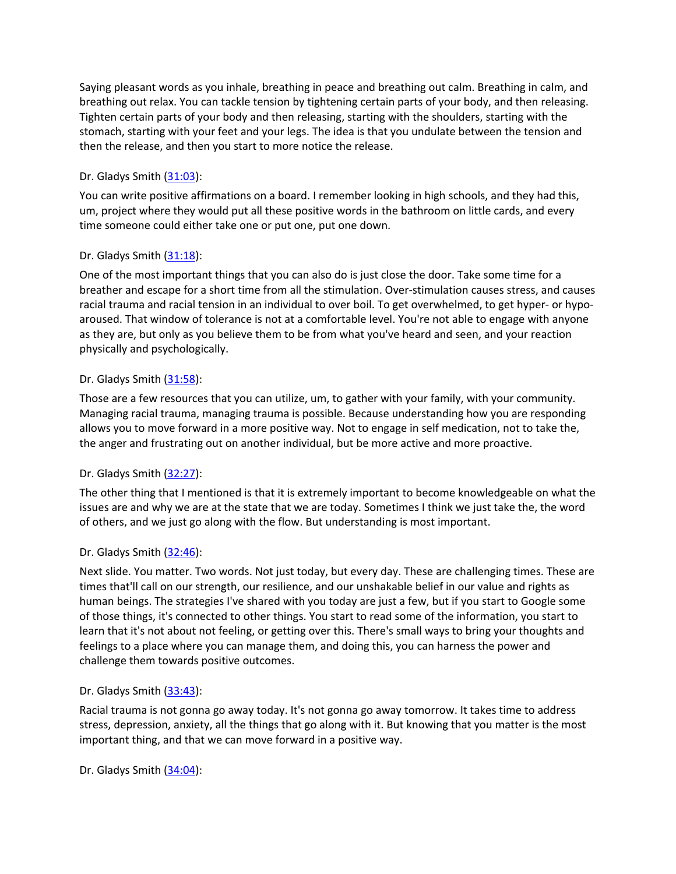Saying pleasant words as you inhale, breathing in peace and breathing out calm. Breathing in calm, and breathing out relax. You can tackle tension by tightening certain parts of your body, and then releasing. Tighten certain parts of your body and then releasing, starting with the shoulders, starting with the stomach, starting with your feet and your legs. The idea is that you undulate between the tension and then the release, and then you start to more notice the release.

# Dr. Gladys Smith ([31:03](https://www.rev.com/transcript-editor/Edit?token=M-zFqa-fHJ0NljrpF77lG6U8xlm34CzbhHmOiSXo8aZviKpJfgCxXSGhCOXGiX7Itk_ivP1SGaZmj8KlzKjItPN5SWM&loadFrom=DocumentDeeplink&ts=1863.12)):

You can write positive affirmations on a board. I remember looking in high schools, and they had this, um, project where they would put all these positive words in the bathroom on little cards, and every time someone could either take one or put one, put one down.

### Dr. Gladys Smith ([31:18](https://www.rev.com/transcript-editor/Edit?token=M66TDGLp-CYaxxm8hJbljHe0d2JTtVsWI5RGNs5xyQoChal2JHgeIQDGamd09PQsmvatvvXq8-cYj6JbgAC6xbaVjCQ&loadFrom=DocumentDeeplink&ts=1878.46)):

One of the most important things that you can also do is just close the door. Take some time for a breather and escape for a short time from all the stimulation. Over-stimulation causes stress, and causes racial trauma and racial tension in an individual to over boil. To get overwhelmed, to get hyper- or hypoaroused. That window of tolerance is not at a comfortable level. You're not able to engage with anyone as they are, but only as you believe them to be from what you've heard and seen, and your reaction physically and psychologically.

# Dr. Gladys Smith ([31:58](https://www.rev.com/transcript-editor/Edit?token=DDKM9XeXfdUJxayb81tYOM_vpYH6_FS_LTKjildqYRTae-RNAtX9H-ikjK2UMNGoU8XrJ2u8_AtMhgI0nZZdHgot6gY&loadFrom=DocumentDeeplink&ts=1918.54)):

Those are a few resources that you can utilize, um, to gather with your family, with your community. Managing racial trauma, managing trauma is possible. Because understanding how you are responding allows you to move forward in a more positive way. Not to engage in self medication, not to take the, the anger and frustrating out on another individual, but be more active and more proactive.

### Dr. Gladys Smith  $(32:27)$  $(32:27)$  $(32:27)$ :

The other thing that I mentioned is that it is extremely important to become knowledgeable on what the issues are and why we are at the state that we are today. Sometimes I think we just take the, the word of others, and we just go along with the flow. But understanding is most important.

### Dr. Gladys Smith ([32:46](https://www.rev.com/transcript-editor/Edit?token=OilfxsBKAqJrmCpjs_FIyIUL-Ov_Hk9d7N3uWT7Ml7SRqVU6tj6_DeomXbOcBtH598Xard9AM1hzYY5P7tKqshoZIcc&loadFrom=DocumentDeeplink&ts=1966.81)):

Next slide. You matter. Two words. Not just today, but every day. These are challenging times. These are times that'll call on our strength, our resilience, and our unshakable belief in our value and rights as human beings. The strategies I've shared with you today are just a few, but if you start to Google some of those things, it's connected to other things. You start to read some of the information, you start to learn that it's not about not feeling, or getting over this. There's small ways to bring your thoughts and feelings to a place where you can manage them, and doing this, you can harness the power and challenge them towards positive outcomes.

### Dr. Gladys Smith ([33:43](https://www.rev.com/transcript-editor/Edit?token=2A1szc8CP9NEGIi-H21Tiu-WyBbIIE2s7n87z66XiEJuND2EYPwh2Fh073OvGdvzm1odYWulqsZBXlG48umi59Yrd70&loadFrom=DocumentDeeplink&ts=2023.66)):

Racial trauma is not gonna go away today. It's not gonna go away tomorrow. It takes time to address stress, depression, anxiety, all the things that go along with it. But knowing that you matter is the most important thing, and that we can move forward in a positive way.

Dr. Gladys Smith ([34:04](https://www.rev.com/transcript-editor/Edit?token=qfbvFkBvwNpippSJNd4cgT3S1ROgsq5gYf35jugtLe-zGKFoE4OSWoMOgJngoNx8N-oXo6nZo4g-1ohcxi3P4h0PHEQ&loadFrom=DocumentDeeplink&ts=2044.85)):